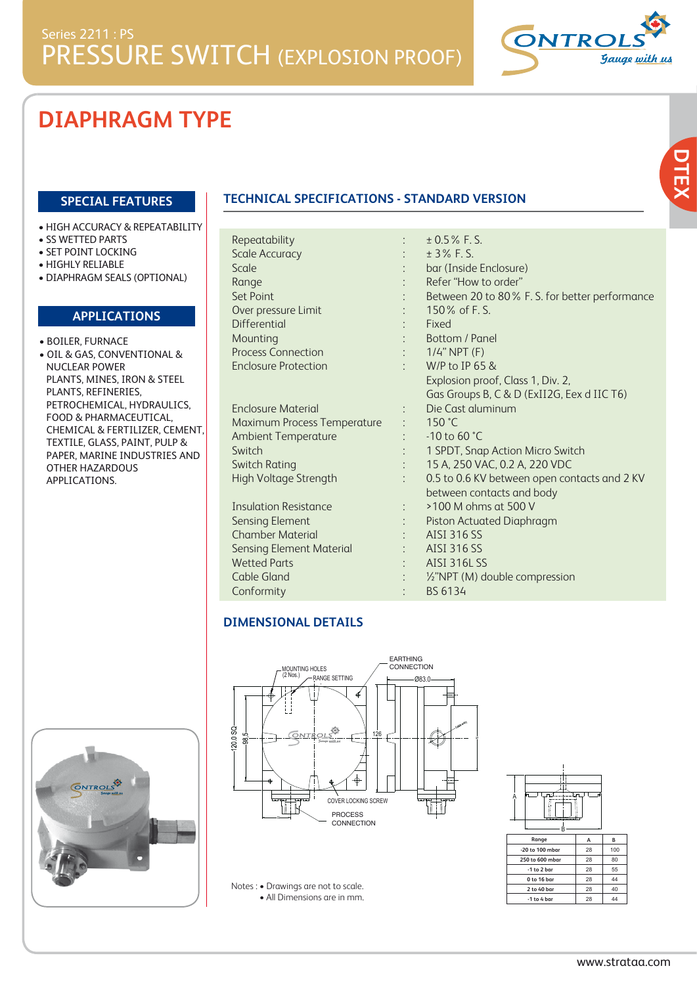

## **DIAPHRAGM TYPE**

#### **SPECIAL FEATURES**

- HIGH ACCURACY & REPEATABILITY
- SS WETTED PARTS
- SET POINT LOCKING
- HIGHLY RELIABLE
- DIAPHRAGM SEALS (OPTIONAL)

#### **APPLICATIONS**

- BOILER, FURNACE
- OIL & GAS, CONVENTIONAL & NUCLEAR POWER PLANTS, MINES, IRON & STEEL PLANTS, REFINERIES, PETROCHEMICAL, HYDRAULICS, FOOD & PHARMACEUTICAL, CHEMICAL & FERTILIZER, CEMENT, TEXTILE, GLASS, PAINT, PULP & PAPER, MARINE INDUSTRIES AND OTHER HAZARDOUS APPLICATIONS.

### **TECHNICAL SPECIFICATIONS - STANDARD VERSION**

|           | $± 0.5\%$ F.S.<br>± 3% F.S.                    |
|-----------|------------------------------------------------|
|           | bar (Inside Enclosure)                         |
|           | Refer "How to order"                           |
|           |                                                |
|           | Between 20 to 80% F. S. for better performance |
|           | $150\%$ of F.S.                                |
|           | Fixed                                          |
|           | Bottom / Panel                                 |
|           | $1/4$ " NPT $(F)$                              |
| $\bullet$ | W/P to IP 65 &                                 |
|           | Explosion proof, Class 1, Div. 2,              |
|           | Gas Groups B, C & D (ExII2G, Eex d IIC T6)     |
|           | Die Cast aluminum                              |
|           | 150 °C                                         |
|           | $-10$ to 60 $°C$                               |
|           | 1 SPDT, Snap Action Micro Switch               |
|           | 15 A, 250 VAC, 0.2 A, 220 VDC                  |
|           | 0.5 to 0.6 KV between open contacts and 2 KV   |
|           | between contacts and body                      |
|           | >100 M ohms at 500 V                           |
|           | Piston Actuated Diaphragm                      |
|           | <b>AISI 316 SS</b>                             |
|           | AISI 316 SS                                    |
|           | <b>AISI 316L SS</b>                            |
|           | 1/2"NPT (M) double compression                 |
|           | BS 6134                                        |
|           |                                                |

#### **DIMENSIONAL DETAILS**





Notes : • Drawings are not to scale. • All Dimensions are in mm.



| nullue          | А  | в   |
|-----------------|----|-----|
| -20 to 100 mbar | 28 | 100 |
| 250 to 600 mbar | 28 | 80  |
| $-1$ to 2 bar   | 28 | 55  |
| 0 to 16 bar     | 28 | 44  |
| 2 to 40 bar     | 28 | 40  |
| $-1$ to 4 bar   | 28 | 44  |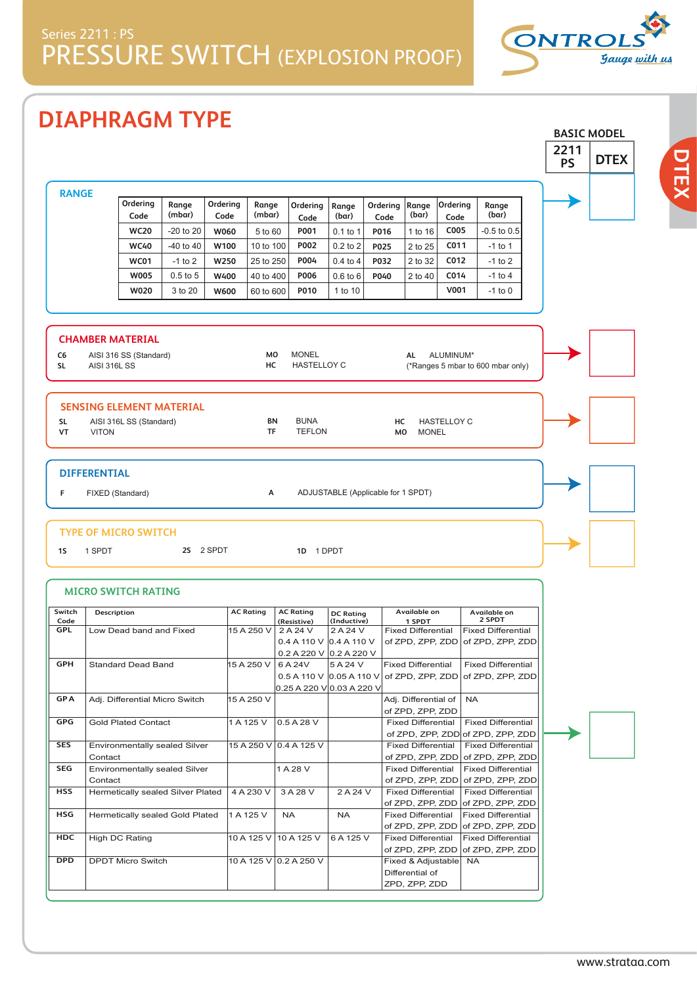

**BASIC MODEL**

**DTEX**

# **DIAPHRAGM TYPE**

|                                    |                     |                                                   |                                   |                  |                  |                                                                                      |                         |                                    |                                               |                    |                                                                | 2211<br><b>PS</b> | <b>DTEX</b> |
|------------------------------------|---------------------|---------------------------------------------------|-----------------------------------|------------------|------------------|--------------------------------------------------------------------------------------|-------------------------|------------------------------------|-----------------------------------------------|--------------------|----------------------------------------------------------------|-------------------|-------------|
|                                    |                     |                                                   |                                   |                  |                  |                                                                                      |                         |                                    |                                               |                    |                                                                |                   |             |
| <b>RANGE</b>                       |                     | Ordering<br>Code                                  | Range<br>(mbar)                   | Ordering<br>Code | Range<br>(mbar)  | Ordering<br>Code                                                                     | Range<br>(bar)          | Ordering<br>Code                   | Range<br>(bar)                                | Ordering<br>Code   | Range<br>(bar)                                                 |                   |             |
|                                    |                     | <b>WC20</b>                                       | $-20$ to $20$                     | W060             | 5 to 60          | P001                                                                                 | $0.1$ to 1              | P016                               | 1 to 16                                       | C005               | $-0.5$ to $0.5$                                                |                   |             |
|                                    |                     | <b>WC40</b>                                       | $-40$ to $40$                     | W100             | 10 to 100        | P002                                                                                 | $0.2$ to $2$            | P025                               | 2 to 25                                       | C011               | $-1$ to 1                                                      |                   |             |
|                                    |                     | <b>WC01</b>                                       | $-1$ to 2                         | W250             | 25 to 250        | P004                                                                                 | $0.4$ to $4$            | P032                               | 2 to 32                                       | C012               | $-1$ to 2                                                      |                   |             |
|                                    |                     | <b>W005</b>                                       | $0.5$ to $5$                      | W400             | 40 to 400        | P006                                                                                 | $0.6$ to $6$            | P040                               | 2 to 40                                       | C014               | $-1$ to 4                                                      |                   |             |
|                                    |                     | <b>W020</b>                                       | 3 to 20                           | W600             | 60 to 600        | P010                                                                                 | 1 to 10                 |                                    |                                               | V001               | $-1$ to 0                                                      |                   |             |
|                                    |                     |                                                   |                                   |                  |                  |                                                                                      |                         |                                    |                                               |                    |                                                                |                   |             |
| C <sub>6</sub><br><b>SL</b>        | <b>AISI 316L SS</b> | <b>CHAMBER MATERIAL</b><br>AISI 316 SS (Standard) |                                   |                  | MO<br>HC         | <b>MONEL</b><br><b>HASTELLOY C</b>                                                   |                         |                                    | AL                                            | ALUMINUM*          | (*Ranges 5 mbar to 600 mbar only)                              |                   |             |
|                                    |                     |                                                   | <b>SENSING ELEMENT MATERIAL</b>   |                  |                  |                                                                                      |                         |                                    |                                               |                    |                                                                |                   |             |
| <b>SL</b>                          |                     | AISI 316L SS (Standard)                           |                                   |                  | BN               | <b>BUNA</b>                                                                          |                         | нс                                 |                                               | <b>HASTELLOY C</b> |                                                                |                   |             |
| VT                                 | <b>VITON</b>        |                                                   |                                   |                  | TF               | <b>TEFLON</b>                                                                        |                         | <b>MO</b>                          | <b>MONEL</b>                                  |                    |                                                                |                   |             |
| <b>DIFFERENTIAL</b><br>F           | FIXED (Standard)    |                                                   |                                   |                  | А                |                                                                                      |                         | ADJUSTABLE (Applicable for 1 SPDT) |                                               |                    |                                                                |                   |             |
| 1 <sub>S</sub>                     | 1 SPDT              | TYPE OF MICRO SWITCH                              | 2S 2 SPDT                         |                  |                  | 1D 1 DPDT                                                                            |                         |                                    |                                               |                    |                                                                |                   |             |
|                                    |                     | <b>MICRO SWITCH RATING</b>                        |                                   |                  |                  |                                                                                      |                         |                                    |                                               |                    |                                                                |                   |             |
|                                    | Description         |                                                   |                                   |                  | <b>AC Rating</b> | <b>AC Rating</b>                                                                     | <b>DC Rating</b>        |                                    | Available on                                  |                    | Available on<br>2 SPDT                                         |                   |             |
| Code<br><b>GPL</b>                 |                     | Low Dead band and Fixed                           |                                   |                  | 15 A 250 V       | (Resistive)<br>2 A 24 V                                                              | (Inductive)<br>2 A 24 V |                                    | 1 SPDT<br><b>Fixed Differential</b>           |                    | <b>Fixed Differential</b>                                      |                   |             |
|                                    |                     |                                                   |                                   |                  |                  | 0.4 A 110 V                                                                          | 0.4 A 110 V             |                                    | of ZPD, ZPP, ZDD                              |                    | of ZPD, ZPP, ZDD                                               |                   |             |
|                                    |                     |                                                   |                                   |                  |                  | $0.2$ A 220 V 0.2 A 220 V                                                            | 5 A 24 V                |                                    |                                               |                    | <b>Fixed Differential</b>                                      |                   |             |
|                                    |                     | Standard Dead Band                                |                                   |                  |                  | 15 A 250 V 6 A 24V<br>0.5 A 110 V $ 0.05 A 110 V $ of ZPD, ZPP, ZDD of ZPD, ZPP, ZDD |                         |                                    | <b>Fixed Differential</b>                     |                    |                                                                |                   |             |
|                                    |                     |                                                   |                                   |                  |                  | 0.25 A 220 V 0.03 A 220 V                                                            |                         |                                    |                                               |                    |                                                                |                   |             |
|                                    |                     |                                                   | Adj. Differential Micro Switch    |                  | 15 A 250 V       |                                                                                      |                         |                                    | Adj. Differential of                          |                    | <b>NA</b>                                                      |                   |             |
| GPH<br><b>GPA</b><br>GPG           |                     | <b>Gold Plated Contact</b>                        |                                   |                  | 1 A 125 V        | 0.5 A 28 V                                                                           |                         |                                    | of ZPD, ZPP, ZDD<br><b>Fixed Differential</b> |                    | <b>Fixed Differential</b>                                      |                   |             |
|                                    |                     |                                                   |                                   |                  |                  | 15 A 250 V 0.4 A 125 V                                                               |                         |                                    | <b>Fixed Differential</b>                     |                    | of ZPD, ZPP, ZDD of ZPD, ZPP, ZDD<br><b>Fixed Differential</b> |                   |             |
|                                    | Contact             |                                                   | Environmentally sealed Silver     |                  |                  |                                                                                      |                         |                                    | of ZPD, ZPP, ZDD                              |                    | of ZPD, ZPP, ZDD                                               |                   |             |
|                                    |                     |                                                   | Environmentally sealed Silver     |                  |                  | 1 A 28 V                                                                             |                         |                                    | <b>Fixed Differential</b>                     |                    | <b>Fixed Differential</b>                                      |                   |             |
| Switch<br><b>SES</b><br>SEG<br>HSS | Contact             |                                                   | Hermetically sealed Silver Plated |                  | 4 A 230 V        | 3 A 28 V                                                                             | 2 A 24 V                |                                    | of ZPD, ZPP, ZDD<br><b>Fixed Differential</b> |                    | of ZPD, ZPP, ZDD<br><b>Fixed Differential</b>                  |                   |             |
| HSG                                |                     |                                                   |                                   |                  |                  |                                                                                      |                         |                                    | of ZPD, ZPP, ZDD                              |                    | of ZPD, ZPP, ZDD                                               |                   |             |
|                                    |                     |                                                   | Hermetically sealed Gold Plated   |                  | 1 A 125 V        | <b>NA</b>                                                                            | <b>NA</b>               |                                    | <b>Fixed Differential</b><br>of ZPD, ZPP, ZDD |                    | <b>Fixed Differential</b><br>of ZPD, ZPP, ZDD                  |                   |             |
| <b>HDC</b>                         |                     | High DC Rating                                    |                                   |                  | 10 A 125 V       | 10 A 125 V                                                                           | 6 A 125 V               |                                    | <b>Fixed Differential</b>                     |                    | <b>Fixed Differential</b>                                      |                   |             |
|                                    |                     |                                                   |                                   |                  |                  |                                                                                      |                         |                                    | of ZPD, ZPP, ZDD                              |                    | of ZPD, ZPP, ZDD                                               |                   |             |
| <b>DPD</b>                         |                     | <b>DPDT Micro Switch</b>                          |                                   |                  |                  | 10 A 125 V 0.2 A 250 V                                                               |                         |                                    | Fixed & Adjustable<br>Differential of         |                    | <b>NA</b>                                                      |                   |             |